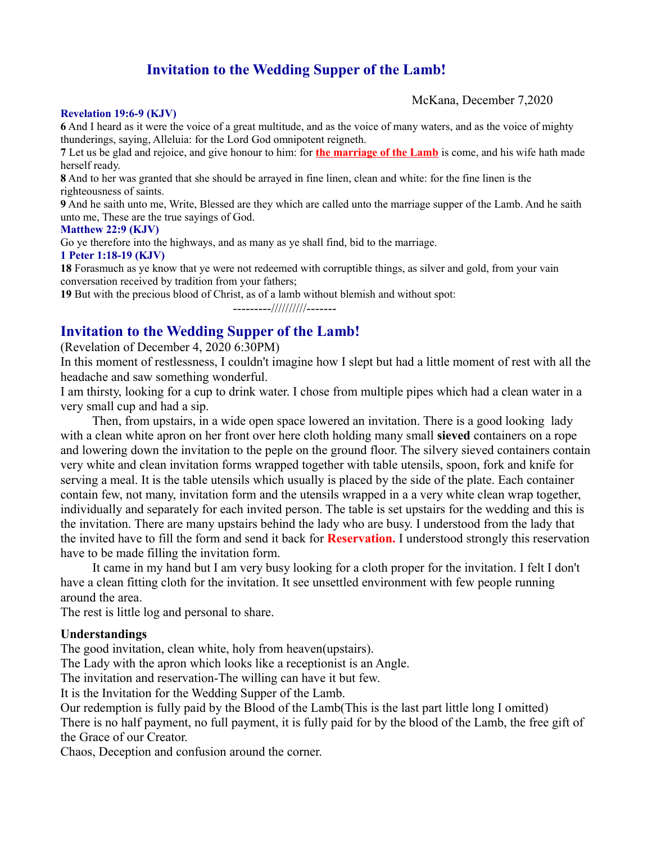# **Invitation to the Wedding Supper of the Lamb!**

McKana, December 7,2020

#### **Revelation 19:6-9 (KJV)**

**6** And I heard as it were the voice of a great multitude, and as the voice of many waters, and as the voice of mighty thunderings, saying, Alleluia: for the Lord God omnipotent reigneth.

**7** Let us be glad and rejoice, and give honour to him: for **the marriage of the Lamb** is come, and his wife hath made herself ready.

**8** And to her was granted that she should be arrayed in fine linen, clean and white: for the fine linen is the righteousness of saints.

**9** And he saith unto me, Write, Blessed are they which are called unto the marriage supper of the Lamb. And he saith unto me, These are the true sayings of God.

#### **Matthew 22:9 (KJV)**

Go ye therefore into the highways, and as many as ye shall find, bid to the marriage.

#### **1 Peter 1:18-19 (KJV)**

**18** Forasmuch as ye know that ye were not redeemed with corruptible things, as silver and gold, from your vain conversation received by tradition from your fathers;

**19** But with the precious blood of Christ, as of a lamb without blemish and without spot:

---------//////////-------

## **Invitation to the Wedding Supper of the Lamb!**

(Revelation of December 4, 2020 6:30PM)

In this moment of restlessness, I couldn't imagine how I slept but had a little moment of rest with all the headache and saw something wonderful.

I am thirsty, looking for a cup to drink water. I chose from multiple pipes which had a clean water in a very small cup and had a sip.

 Then, from upstairs, in a wide open space lowered an invitation. There is a good looking lady with a clean white apron on her front over here cloth holding many small **sieved** containers on a rope and lowering down the invitation to the peple on the ground floor. The silvery sieved containers contain very white and clean invitation forms wrapped together with table utensils, spoon, fork and knife for serving a meal. It is the table utensils which usually is placed by the side of the plate. Each container contain few, not many, invitation form and the utensils wrapped in a a very white clean wrap together, individually and separately for each invited person. The table is set upstairs for the wedding and this is the invitation. There are many upstairs behind the lady who are busy. I understood from the lady that the invited have to fill the form and send it back for **Reservation.** I understood strongly this reservation have to be made filling the invitation form.

 It came in my hand but I am very busy looking for a cloth proper for the invitation. I felt I don't have a clean fitting cloth for the invitation. It see unsettled environment with few people running around the area.

The rest is little log and personal to share.

### **Understandings**

The good invitation, clean white, holy from heaven(upstairs).

The Lady with the apron which looks like a receptionist is an Angle.

The invitation and reservation-The willing can have it but few.

It is the Invitation for the Wedding Supper of the Lamb.

Our redemption is fully paid by the Blood of the Lamb(This is the last part little long I omitted) There is no half payment, no full payment, it is fully paid for by the blood of the Lamb, the free gift of the Grace of our Creator.

Chaos, Deception and confusion around the corner.